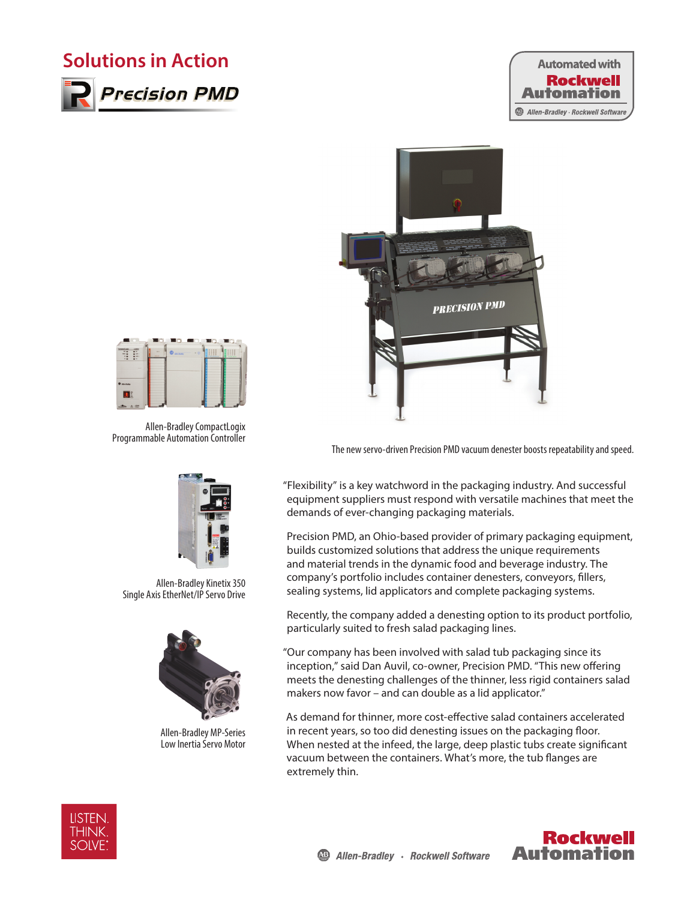## **Solutions in Action**



**Precision PMD** 







Allen-Bradley CompactLogix Programmable Automation Controller



Allen-Bradley Kinetix 350 Single Axis EtherNet/IP Servo Drive



Allen-Bradley MP-Series Low Inertia Servo Motor

The new servo-driven Precision PMD vacuum denester boosts repeatability and speed.

"Flexibility" is a key watchword in the packaging industry. And successful equipment suppliers must respond with versatile machines that meet the demands of ever-changing packaging materials.

Precision PMD, an Ohio-based provider of primary packaging equipment, builds customized solutions that address the unique requirements and material trends in the dynamic food and beverage industry. The company's portfolio includes container denesters, conveyors, fillers, sealing systems, lid applicators and complete packaging systems.

Recently, the company added a denesting option to its product portfolio, particularly suited to fresh salad packaging lines.

"Our company has been involved with salad tub packaging since its inception," said Dan Auvil, co-owner, Precision PMD. "This new offering meets the denesting challenges of the thinner, less rigid containers salad makers now favor – and can double as a lid applicator."

As demand for thinner, more cost-effective salad containers accelerated in recent years, so too did denesting issues on the packaging floor. When nested at the infeed, the large, deep plastic tubs create significant vacuum between the containers. What's more, the tub flanges are extremely thin.